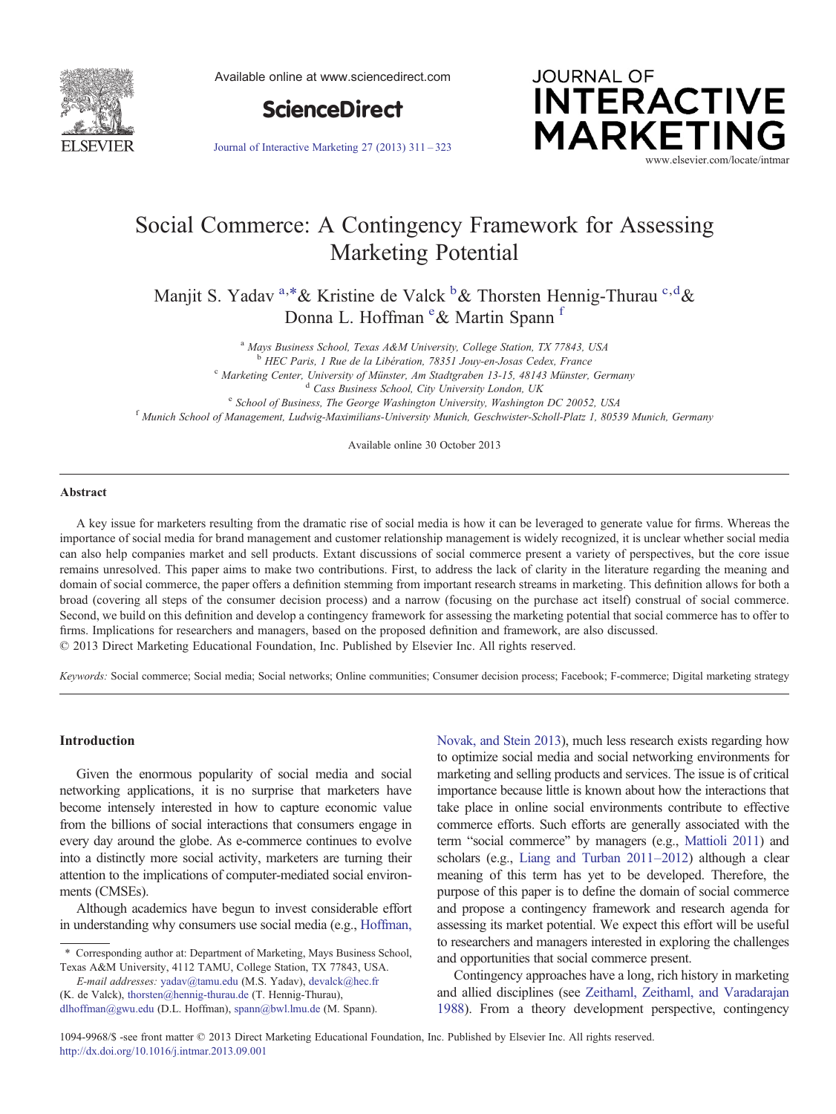

Available online at www.sciencedirect.com



[Journal of Interactive Marketing 27 \(2013\) 311](http://dx.doi.org/10.1016/j.intmar.2013.09.001)–323



# Social Commerce: A Contingency Framework for Assessing Marketing Potential

Manjit S. Yadav <sup>a,\*</sup>& Kristine de Valck <sup>b</sup>& Thorsten Hennig-Thurau <sup>c,d</sup>& Donna L. Hoffman <sup>e</sup> & Martin Spann<sup>1</sup>

<sup>a</sup> Mays Business School, Texas A&M University, College Station, TX 77843, USA<br><sup>b</sup> HEC Paris, 1 Rue de la Libération, 78351 Jouy-en-Josas Cedex, France<br><sup>c</sup> Marketing Center, University of Münster, Am Stadtgraben 13-15, 48

 $f$  Munich School of Management, Ludwig-Maximilians-University Munich, Geschwister-Scholl-Platz 1, 80539 Munich, Germany

Available online 30 October 2013

#### Abstract

A key issue for marketers resulting from the dramatic rise of social media is how it can be leveraged to generate value for firms. Whereas the importance of social media for brand management and customer relationship management is widely recognized, it is unclear whether social media can also help companies market and sell products. Extant discussions of social commerce present a variety of perspectives, but the core issue remains unresolved. This paper aims to make two contributions. First, to address the lack of clarity in the literature regarding the meaning and domain of social commerce, the paper offers a definition stemming from important research streams in marketing. This definition allows for both a broad (covering all steps of the consumer decision process) and a narrow (focusing on the purchase act itself) construal of social commerce. Second, we build on this definition and develop a contingency framework for assessing the marketing potential that social commerce has to offer to firms. Implications for researchers and managers, based on the proposed definition and framework, are also discussed. © 2013 Direct Marketing Educational Foundation, Inc. Published by Elsevier Inc. All rights reserved.

Keywords: Social commerce; Social media; Social networks; Online communities; Consumer decision process; Facebook; F-commerce; Digital marketing strategy

## Introduction

Given the enormous popularity of social media and social networking applications, it is no surprise that marketers have become intensely interested in how to capture economic value from the billions of social interactions that consumers engage in every day around the globe. As e-commerce continues to evolve into a distinctly more social activity, marketers are turning their attention to the implications of computer-mediated social environments (CMSEs).

Although academics have begun to invest considerable effort in understanding why consumers use social media (e.g., [Hoffman,](#page-11-0)

⁎ Corresponding author at: Department of Marketing, Mays Business School, Texas A&M University, 4112 TAMU, College Station, TX 77843, USA.

E-mail addresses: [yadav@tamu.edu](mailto:yadav@tamu.edu) (M.S. Yadav), [devalck@hec.fr](mailto:devalck@hec.fr) (K. de Valck), [thorsten@hennig-thurau.de](mailto:thorsten@hennig-thurau.de) (T. Hennig-Thurau),

[dlhoffman@gwu.edu](mailto:dlhoffman@gwu.edu) (D.L. Hoffman), [spann@bwl.lmu.de](mailto:spann@bwl.lmu.de) (M. Spann).

[Novak, and Stein 2013\)](#page-11-0), much less research exists regarding how to optimize social media and social networking environments for marketing and selling products and services. The issue is of critical importance because little is known about how the interactions that take place in online social environments contribute to effective commerce efforts. Such efforts are generally associated with the term "social commerce" by managers (e.g., [Mattioli 2011](#page-11-0)) and scholars (e.g., [Liang and Turban 2011](#page-11-0)–2012) although a clear meaning of this term has yet to be developed. Therefore, the purpose of this paper is to define the domain of social commerce and propose a contingency framework and research agenda for assessing its market potential. We expect this effort will be useful to researchers and managers interested in exploring the challenges and opportunities that social commerce present.

Contingency approaches have a long, rich history in marketing and allied disciplines (see [Zeithaml, Zeithaml, and Varadarajan](#page-12-0) [1988\)](#page-12-0). From a theory development perspective, contingency

1094-9968/\$ -see front matter © 2013 Direct Marketing Educational Foundation, Inc. Published by Elsevier Inc. All rights reserved. <http://dx.doi.org/10.1016/j.intmar.2013.09.001>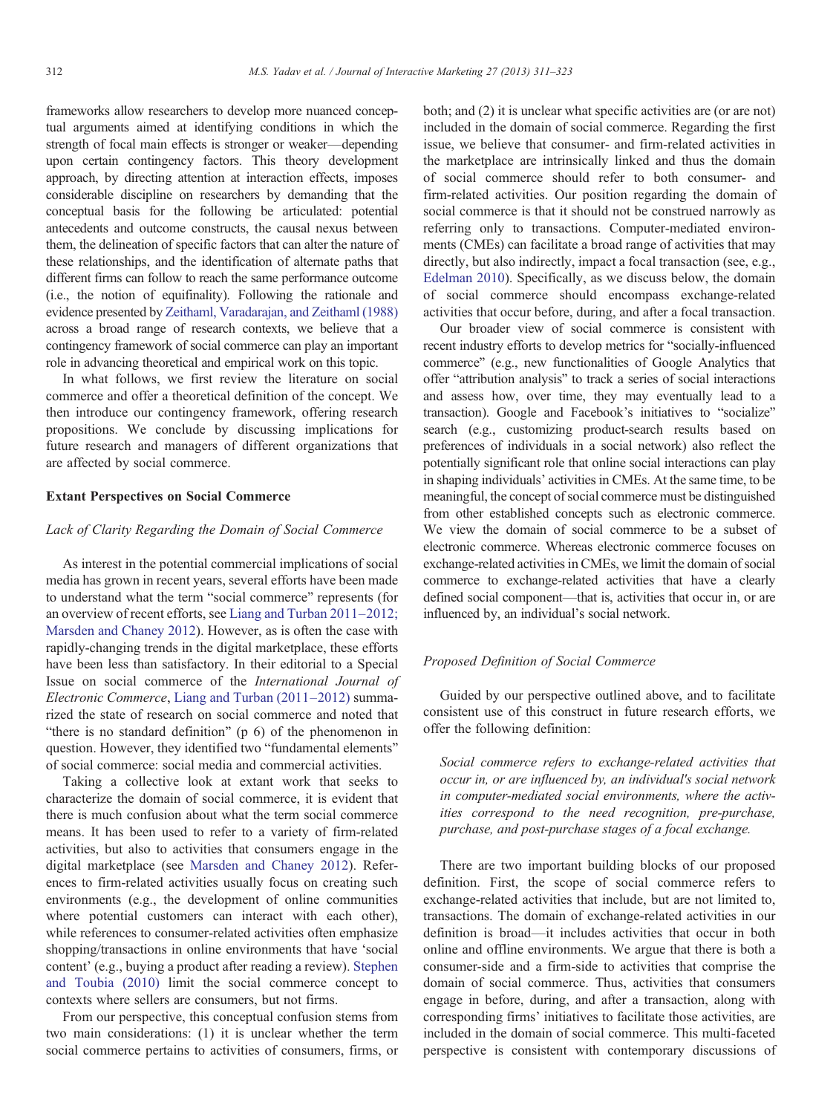frameworks allow researchers to develop more nuanced conceptual arguments aimed at identifying conditions in which the strength of focal main effects is stronger or weaker—depending upon certain contingency factors. This theory development approach, by directing attention at interaction effects, imposes considerable discipline on researchers by demanding that the conceptual basis for the following be articulated: potential antecedents and outcome constructs, the causal nexus between them, the delineation of specific factors that can alter the nature of these relationships, and the identification of alternate paths that different firms can follow to reach the same performance outcome (i.e., the notion of equifinality). Following the rationale and evidence presented by [Zeithaml, Varadarajan, and Zeithaml \(1988\)](#page-12-0) across a broad range of research contexts, we believe that a contingency framework of social commerce can play an important role in advancing theoretical and empirical work on this topic.

In what follows, we first review the literature on social commerce and offer a theoretical definition of the concept. We then introduce our contingency framework, offering research propositions. We conclude by discussing implications for future research and managers of different organizations that are affected by social commerce.

# Extant Perspectives on Social Commerce

## Lack of Clarity Regarding the Domain of Social Commerce

As interest in the potential commercial implications of social media has grown in recent years, several efforts have been made to understand what the term "social commerce" represents (for an overview of recent efforts, see [Liang and Turban 2011](#page-11-0)–2012; [Marsden and Chaney 2012\)](#page-11-0). However, as is often the case with rapidly-changing trends in the digital marketplace, these efforts have been less than satisfactory. In their editorial to a Special Issue on social commerce of the International Journal of Electronic Commerce, [Liang and Turban \(2011](#page-11-0)–2012) summarized the state of research on social commerce and noted that "there is no standard definition" (p 6) of the phenomenon in question. However, they identified two "fundamental elements" of social commerce: social media and commercial activities.

Taking a collective look at extant work that seeks to characterize the domain of social commerce, it is evident that there is much confusion about what the term social commerce means. It has been used to refer to a variety of firm-related activities, but also to activities that consumers engage in the digital marketplace (see [Marsden and Chaney 2012](#page-11-0)). References to firm-related activities usually focus on creating such environments (e.g., the development of online communities where potential customers can interact with each other), while references to consumer-related activities often emphasize shopping/transactions in online environments that have 'social content' (e.g., buying a product after reading a review). [Stephen](#page-12-0) [and Toubia \(2010\)](#page-12-0) limit the social commerce concept to contexts where sellers are consumers, but not firms.

From our perspective, this conceptual confusion stems from two main considerations: (1) it is unclear whether the term social commerce pertains to activities of consumers, firms, or both; and (2) it is unclear what specific activities are (or are not) included in the domain of social commerce. Regarding the first issue, we believe that consumer- and firm-related activities in the marketplace are intrinsically linked and thus the domain of social commerce should refer to both consumer- and firm-related activities. Our position regarding the domain of social commerce is that it should not be construed narrowly as referring only to transactions. Computer-mediated environments (CMEs) can facilitate a broad range of activities that may directly, but also indirectly, impact a focal transaction (see, e.g., [Edelman 2010\)](#page-11-0). Specifically, as we discuss below, the domain of social commerce should encompass exchange-related activities that occur before, during, and after a focal transaction.

Our broader view of social commerce is consistent with recent industry efforts to develop metrics for "socially-influenced commerce" (e.g., new functionalities of Google Analytics that offer "attribution analysis" to track a series of social interactions and assess how, over time, they may eventually lead to a transaction). Google and Facebook's initiatives to "socialize" search (e.g., customizing product-search results based on preferences of individuals in a social network) also reflect the potentially significant role that online social interactions can play in shaping individuals' activities in CMEs. At the same time, to be meaningful, the concept of social commerce must be distinguished from other established concepts such as electronic commerce. We view the domain of social commerce to be a subset of electronic commerce. Whereas electronic commerce focuses on exchange-related activities in CMEs, we limit the domain of social commerce to exchange-related activities that have a clearly defined social component—that is, activities that occur in, or are influenced by, an individual's social network.

## Proposed Definition of Social Commerce

Guided by our perspective outlined above, and to facilitate consistent use of this construct in future research efforts, we offer the following definition:

Social commerce refers to exchange-related activities that occur in, or are influenced by, an individual's social network in computer-mediated social environments, where the activities correspond to the need recognition, pre-purchase, purchase, and post-purchase stages of a focal exchange.

There are two important building blocks of our proposed definition. First, the scope of social commerce refers to exchange-related activities that include, but are not limited to, transactions. The domain of exchange-related activities in our definition is broad—it includes activities that occur in both online and offline environments. We argue that there is both a consumer-side and a firm-side to activities that comprise the domain of social commerce. Thus, activities that consumers engage in before, during, and after a transaction, along with corresponding firms' initiatives to facilitate those activities, are included in the domain of social commerce. This multi-faceted perspective is consistent with contemporary discussions of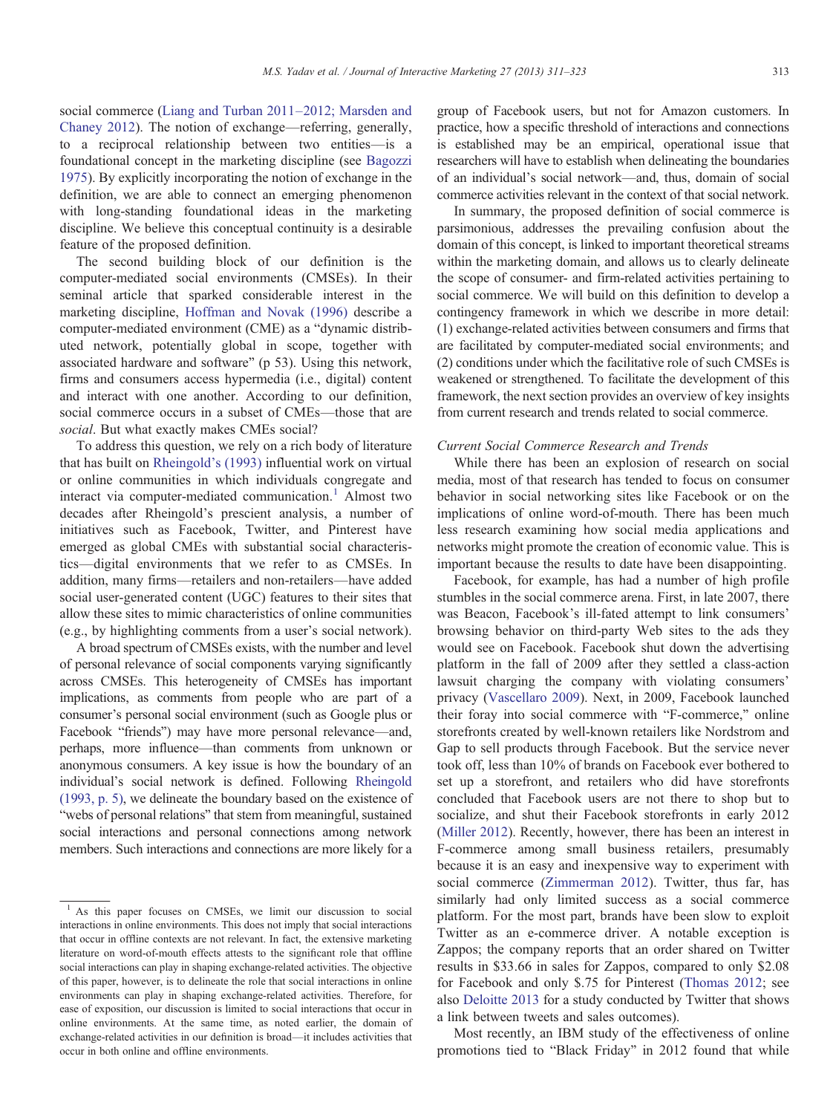social commerce ([Liang and Turban 2011](#page-11-0)–2012; Marsden and [Chaney 2012](#page-11-0)). The notion of exchange—referring, generally, to a reciprocal relationship between two entities—is a foundational concept in the marketing discipline (see [Bagozzi](#page-11-0) [1975](#page-11-0)). By explicitly incorporating the notion of exchange in the definition, we are able to connect an emerging phenomenon with long-standing foundational ideas in the marketing discipline. We believe this conceptual continuity is a desirable feature of the proposed definition.

The second building block of our definition is the computer-mediated social environments (CMSEs). In their seminal article that sparked considerable interest in the marketing discipline, [Hoffman and Novak \(1996\)](#page-11-0) describe a computer-mediated environment (CME) as a "dynamic distributed network, potentially global in scope, together with associated hardware and software" (p 53). Using this network, firms and consumers access hypermedia (i.e., digital) content and interact with one another. According to our definition, social commerce occurs in a subset of CMEs—those that are social. But what exactly makes CMEs social?

To address this question, we rely on a rich body of literature that has built on [Rheingold's \(1993\)](#page-12-0) influential work on virtual or online communities in which individuals congregate and interact via computer-mediated communication.<sup>1</sup> Almost two decades after Rheingold's prescient analysis, a number of initiatives such as Facebook, Twitter, and Pinterest have emerged as global CMEs with substantial social characteristics—digital environments that we refer to as CMSEs. In addition, many firms—retailers and non-retailers—have added social user-generated content (UGC) features to their sites that allow these sites to mimic characteristics of online communities (e.g., by highlighting comments from a user's social network).

A broad spectrum of CMSEs exists, with the number and level of personal relevance of social components varying significantly across CMSEs. This heterogeneity of CMSEs has important implications, as comments from people who are part of a consumer's personal social environment (such as Google plus or Facebook "friends") may have more personal relevance—and, perhaps, more influence—than comments from unknown or anonymous consumers. A key issue is how the boundary of an individual's social network is defined. Following [Rheingold](#page-12-0) [\(1993, p. 5\),](#page-12-0) we delineate the boundary based on the existence of "webs of personal relations" that stem from meaningful, sustained social interactions and personal connections among network members. Such interactions and connections are more likely for a

group of Facebook users, but not for Amazon customers. In practice, how a specific threshold of interactions and connections is established may be an empirical, operational issue that researchers will have to establish when delineating the boundaries of an individual's social network—and, thus, domain of social commerce activities relevant in the context of that social network.

In summary, the proposed definition of social commerce is parsimonious, addresses the prevailing confusion about the domain of this concept, is linked to important theoretical streams within the marketing domain, and allows us to clearly delineate the scope of consumer- and firm-related activities pertaining to social commerce. We will build on this definition to develop a contingency framework in which we describe in more detail: (1) exchange-related activities between consumers and firms that are facilitated by computer-mediated social environments; and (2) conditions under which the facilitative role of such CMSEs is weakened or strengthened. To facilitate the development of this framework, the next section provides an overview of key insights from current research and trends related to social commerce.

## Current Social Commerce Research and Trends

While there has been an explosion of research on social media, most of that research has tended to focus on consumer behavior in social networking sites like Facebook or on the implications of online word-of-mouth. There has been much less research examining how social media applications and networks might promote the creation of economic value. This is important because the results to date have been disappointing.

Facebook, for example, has had a number of high profile stumbles in the social commerce arena. First, in late 2007, there was Beacon, Facebook's ill-fated attempt to link consumers' browsing behavior on third-party Web sites to the ads they would see on Facebook. Facebook shut down the advertising platform in the fall of 2009 after they settled a class-action lawsuit charging the company with violating consumers' privacy ([Vascellaro 2009](#page-12-0)). Next, in 2009, Facebook launched their foray into social commerce with "F-commerce," online storefronts created by well-known retailers like Nordstrom and Gap to sell products through Facebook. But the service never took off, less than 10% of brands on Facebook ever bothered to set up a storefront, and retailers who did have storefronts concluded that Facebook users are not there to shop but to socialize, and shut their Facebook storefronts in early 2012 ([Miller 2012](#page-12-0)). Recently, however, there has been an interest in F-commerce among small business retailers, presumably because it is an easy and inexpensive way to experiment with social commerce ([Zimmerman 2012](#page-12-0)). Twitter, thus far, has similarly had only limited success as a social commerce platform. For the most part, brands have been slow to exploit Twitter as an e-commerce driver. A notable exception is Zappos; the company reports that an order shared on Twitter results in \$33.66 in sales for Zappos, compared to only \$2.08 for Facebook and only \$.75 for Pinterest ([Thomas 2012](#page-12-0); see also [Deloitte 2013](#page-11-0) for a study conducted by Twitter that shows a link between tweets and sales outcomes).

Most recently, an IBM study of the effectiveness of online promotions tied to "Black Friday" in 2012 found that while

<sup>&</sup>lt;sup>1</sup> As this paper focuses on CMSEs, we limit our discussion to social interactions in online environments. This does not imply that social interactions that occur in offline contexts are not relevant. In fact, the extensive marketing literature on word-of-mouth effects attests to the significant role that offline social interactions can play in shaping exchange-related activities. The objective of this paper, however, is to delineate the role that social interactions in online environments can play in shaping exchange-related activities. Therefore, for ease of exposition, our discussion is limited to social interactions that occur in online environments. At the same time, as noted earlier, the domain of exchange-related activities in our definition is broad—it includes activities that occur in both online and offline environments.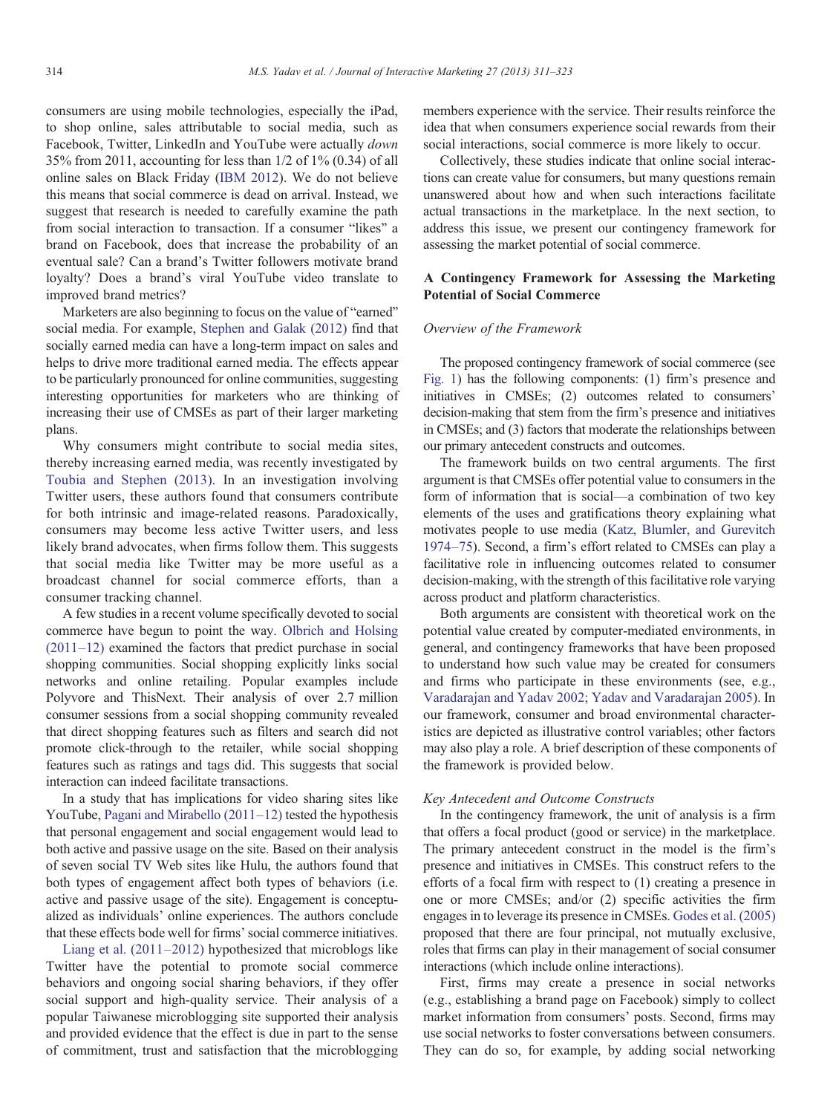consumers are using mobile technologies, especially the iPad, to shop online, sales attributable to social media, such as Facebook, Twitter, LinkedIn and YouTube were actually down 35% from 2011, accounting for less than 1/2 of 1% (0.34) of all online sales on Black Friday ([IBM 2012\)](#page-11-0). We do not believe this means that social commerce is dead on arrival. Instead, we suggest that research is needed to carefully examine the path from social interaction to transaction. If a consumer "likes" a brand on Facebook, does that increase the probability of an eventual sale? Can a brand's Twitter followers motivate brand loyalty? Does a brand's viral YouTube video translate to improved brand metrics?

Marketers are also beginning to focus on the value of "earned" social media. For example, [Stephen and Galak \(2012\)](#page-12-0) find that socially earned media can have a long-term impact on sales and helps to drive more traditional earned media. The effects appear to be particularly pronounced for online communities, suggesting interesting opportunities for marketers who are thinking of increasing their use of CMSEs as part of their larger marketing plans.

Why consumers might contribute to social media sites, thereby increasing earned media, was recently investigated by [Toubia and Stephen \(2013\)](#page-12-0). In an investigation involving Twitter users, these authors found that consumers contribute for both intrinsic and image-related reasons. Paradoxically, consumers may become less active Twitter users, and less likely brand advocates, when firms follow them. This suggests that social media like Twitter may be more useful as a broadcast channel for social commerce efforts, than a consumer tracking channel.

A few studies in a recent volume specifically devoted to social commerce have begun to point the way. [Olbrich and Holsing](#page-12-0) [\(2011](#page-12-0)–12) examined the factors that predict purchase in social shopping communities. Social shopping explicitly links social networks and online retailing. Popular examples include Polyvore and ThisNext. Their analysis of over 2.7 million consumer sessions from a social shopping community revealed that direct shopping features such as filters and search did not promote click-through to the retailer, while social shopping features such as ratings and tags did. This suggests that social interaction can indeed facilitate transactions.

In a study that has implications for video sharing sites like YouTube, [Pagani and Mirabello \(2011](#page-12-0)–12) tested the hypothesis that personal engagement and social engagement would lead to both active and passive usage on the site. Based on their analysis of seven social TV Web sites like Hulu, the authors found that both types of engagement affect both types of behaviors (i.e. active and passive usage of the site). Engagement is conceptualized as individuals' online experiences. The authors conclude that these effects bode well for firms' social commerce initiatives.

[Liang et al. \(2011](#page-11-0)–2012) hypothesized that microblogs like Twitter have the potential to promote social commerce behaviors and ongoing social sharing behaviors, if they offer social support and high-quality service. Their analysis of a popular Taiwanese microblogging site supported their analysis and provided evidence that the effect is due in part to the sense of commitment, trust and satisfaction that the microblogging

members experience with the service. Their results reinforce the idea that when consumers experience social rewards from their social interactions, social commerce is more likely to occur.

Collectively, these studies indicate that online social interactions can create value for consumers, but many questions remain unanswered about how and when such interactions facilitate actual transactions in the marketplace. In the next section, to address this issue, we present our contingency framework for assessing the market potential of social commerce.

# A Contingency Framework for Assessing the Marketing Potential of Social Commerce

## Overview of the Framework

The proposed contingency framework of social commerce (see [Fig. 1\)](#page-4-0) has the following components: (1) firm's presence and initiatives in CMSEs; (2) outcomes related to consumers' decision-making that stem from the firm's presence and initiatives in CMSEs; and (3) factors that moderate the relationships between our primary antecedent constructs and outcomes.

The framework builds on two central arguments. The first argument is that CMSEs offer potential value to consumers in the form of information that is social—a combination of two key elements of the uses and gratifications theory explaining what motivates people to use media ([Katz, Blumler, and Gurevitch](#page-11-0) [1974](#page-11-0)–75). Second, a firm's effort related to CMSEs can play a facilitative role in influencing outcomes related to consumer decision-making, with the strength of this facilitative role varying across product and platform characteristics.

Both arguments are consistent with theoretical work on the potential value created by computer-mediated environments, in general, and contingency frameworks that have been proposed to understand how such value may be created for consumers and firms who participate in these environments (see, e.g., [Varadarajan and Yadav 2002; Yadav and Varadarajan 2005\)](#page-12-0). In our framework, consumer and broad environmental characteristics are depicted as illustrative control variables; other factors may also play a role. A brief description of these components of the framework is provided below.

## Key Antecedent and Outcome Constructs

In the contingency framework, the unit of analysis is a firm that offers a focal product (good or service) in the marketplace. The primary antecedent construct in the model is the firm's presence and initiatives in CMSEs. This construct refers to the efforts of a focal firm with respect to (1) creating a presence in one or more CMSEs; and/or (2) specific activities the firm engages in to leverage its presence in CMSEs. [Godes et al. \(2005\)](#page-11-0) proposed that there are four principal, not mutually exclusive, roles that firms can play in their management of social consumer interactions (which include online interactions).

First, firms may create a presence in social networks (e.g., establishing a brand page on Facebook) simply to collect market information from consumers' posts. Second, firms may use social networks to foster conversations between consumers. They can do so, for example, by adding social networking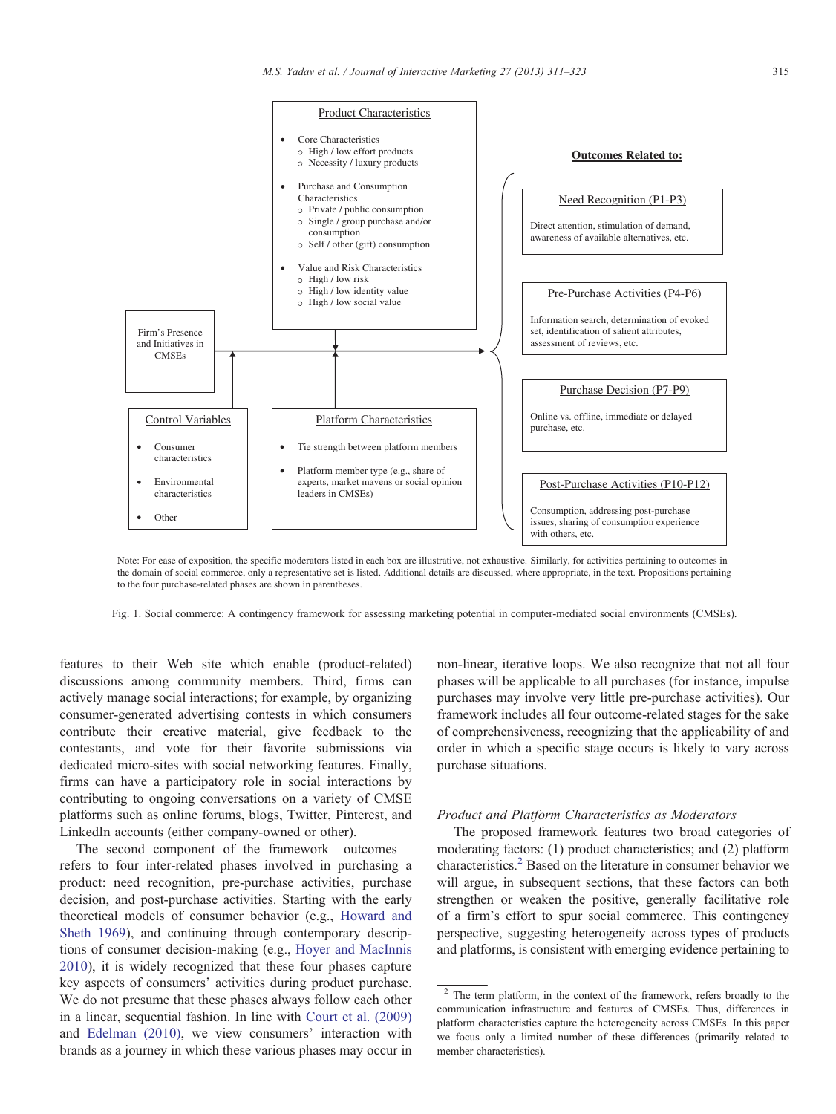<span id="page-4-0"></span>

Note: For ease of exposition, the specific moderators listed in each box are illustrative, not exhaustive. Similarly, for activities pertaining to outcomes in the domain of social commerce, only a representative set is listed. Additional details are discussed, where appropriate, in the text. Propositions pertaining to the four purchase-related phases are shown in parentheses.

Fig. 1. Social commerce: A contingency framework for assessing marketing potential in computer-mediated social environments (CMSEs).

features to their Web site which enable (product-related) discussions among community members. Third, firms can actively manage social interactions; for example, by organizing consumer-generated advertising contests in which consumers contribute their creative material, give feedback to the contestants, and vote for their favorite submissions via dedicated micro-sites with social networking features. Finally, firms can have a participatory role in social interactions by contributing to ongoing conversations on a variety of CMSE platforms such as online forums, blogs, Twitter, Pinterest, and LinkedIn accounts (either company-owned or other).

The second component of the framework—outcomes refers to four inter-related phases involved in purchasing a product: need recognition, pre-purchase activities, purchase decision, and post-purchase activities. Starting with the early theoretical models of consumer behavior (e.g., [Howard and](#page-11-0) [Sheth 1969\)](#page-11-0), and continuing through contemporary descriptions of consumer decision-making (e.g., [Hoyer and MacInnis](#page-11-0) [2010](#page-11-0)), it is widely recognized that these four phases capture key aspects of consumers' activities during product purchase. We do not presume that these phases always follow each other in a linear, sequential fashion. In line with [Court et al. \(2009\)](#page-11-0) and [Edelman \(2010\),](#page-11-0) we view consumers' interaction with brands as a journey in which these various phases may occur in

non-linear, iterative loops. We also recognize that not all four phases will be applicable to all purchases (for instance, impulse purchases may involve very little pre-purchase activities). Our framework includes all four outcome-related stages for the sake of comprehensiveness, recognizing that the applicability of and order in which a specific stage occurs is likely to vary across purchase situations.

## Product and Platform Characteristics as Moderators

The proposed framework features two broad categories of moderating factors: (1) product characteristics; and (2) platform characteristics.<sup>2</sup> Based on the literature in consumer behavior we will argue, in subsequent sections, that these factors can both strengthen or weaken the positive, generally facilitative role of a firm's effort to spur social commerce. This contingency perspective, suggesting heterogeneity across types of products and platforms, is consistent with emerging evidence pertaining to

<sup>&</sup>lt;sup>2</sup> The term platform, in the context of the framework, refers broadly to the communication infrastructure and features of CMSEs. Thus, differences in platform characteristics capture the heterogeneity across CMSEs. In this paper we focus only a limited number of these differences (primarily related to member characteristics).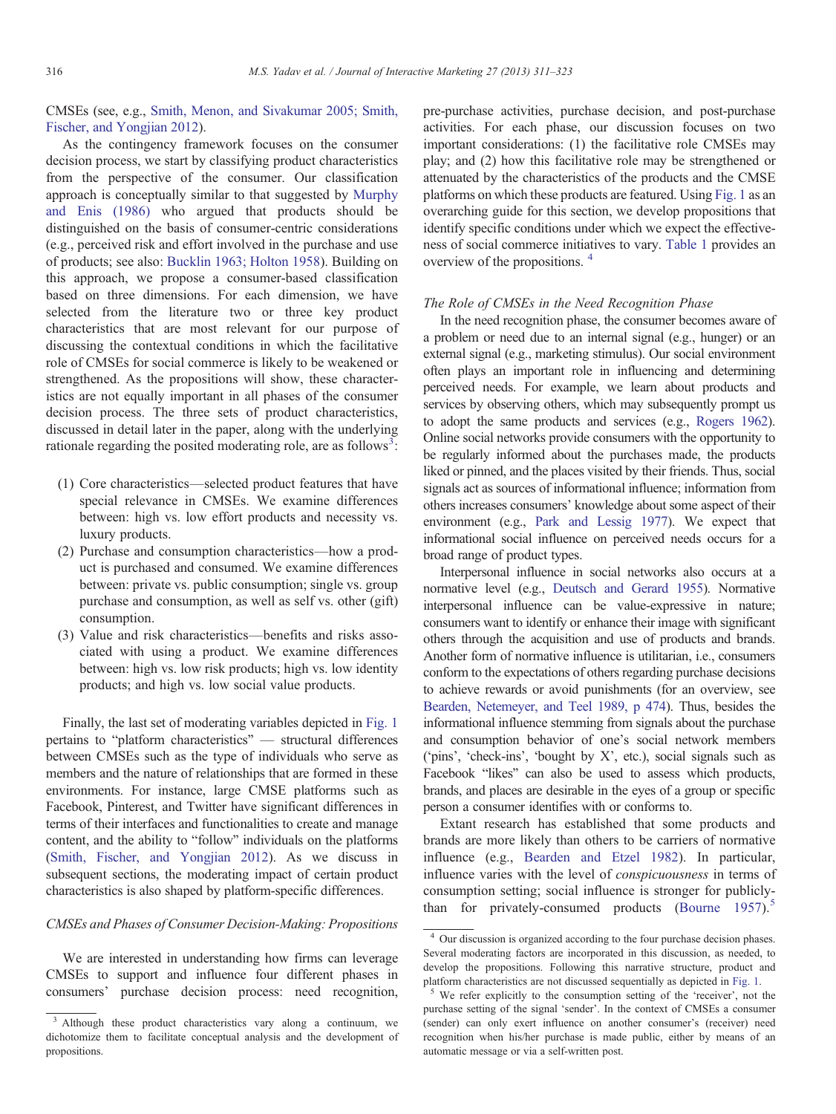CMSEs (see, e.g., [Smith, Menon, and Sivakumar 2005; Smith,](#page-12-0) [Fischer, and Yongjian 2012](#page-12-0)).

As the contingency framework focuses on the consumer decision process, we start by classifying product characteristics from the perspective of the consumer. Our classification approach is conceptually similar to that suggested by [Murphy](#page-12-0) [and Enis \(1986\)](#page-12-0) who argued that products should be distinguished on the basis of consumer-centric considerations (e.g., perceived risk and effort involved in the purchase and use of products; see also: [Bucklin 1963; Holton 1958](#page-11-0)). Building on this approach, we propose a consumer-based classification based on three dimensions. For each dimension, we have selected from the literature two or three key product characteristics that are most relevant for our purpose of discussing the contextual conditions in which the facilitative role of CMSEs for social commerce is likely to be weakened or strengthened. As the propositions will show, these characteristics are not equally important in all phases of the consumer decision process. The three sets of product characteristics, discussed in detail later in the paper, along with the underlying rationale regarding the posited moderating role, are as follows<sup>3</sup>:

- (1) Core characteristics—selected product features that have special relevance in CMSEs. We examine differences between: high vs. low effort products and necessity vs. luxury products.
- (2) Purchase and consumption characteristics—how a product is purchased and consumed. We examine differences between: private vs. public consumption; single vs. group purchase and consumption, as well as self vs. other (gift) consumption.
- (3) Value and risk characteristics—benefits and risks associated with using a product. We examine differences between: high vs. low risk products; high vs. low identity products; and high vs. low social value products.

Finally, the last set of moderating variables depicted in [Fig. 1](#page-4-0) pertains to "platform characteristics" — structural differences between CMSEs such as the type of individuals who serve as members and the nature of relationships that are formed in these environments. For instance, large CMSE platforms such as Facebook, Pinterest, and Twitter have significant differences in terms of their interfaces and functionalities to create and manage content, and the ability to "follow" individuals on the platforms ([Smith, Fischer, and Yongjian 2012](#page-12-0)). As we discuss in subsequent sections, the moderating impact of certain product characteristics is also shaped by platform-specific differences.

# CMSEs and Phases of Consumer Decision-Making: Propositions

We are interested in understanding how firms can leverage CMSEs to support and influence four different phases in consumers' purchase decision process: need recognition, pre-purchase activities, purchase decision, and post-purchase activities. For each phase, our discussion focuses on two important considerations: (1) the facilitative role CMSEs may play; and (2) how this facilitative role may be strengthened or attenuated by the characteristics of the products and the CMSE platforms on which these products are featured. Using [Fig. 1](#page-4-0) as an overarching guide for this section, we develop propositions that identify specific conditions under which we expect the effectiveness of social commerce initiatives to vary. [Table 1](#page-6-0) provides an overview of the propositions. <sup>4</sup>

#### The Role of CMSEs in the Need Recognition Phase

In the need recognition phase, the consumer becomes aware of a problem or need due to an internal signal (e.g., hunger) or an external signal (e.g., marketing stimulus). Our social environment often plays an important role in influencing and determining perceived needs. For example, we learn about products and services by observing others, which may subsequently prompt us to adopt the same products and services (e.g., [Rogers 1962](#page-12-0)). Online social networks provide consumers with the opportunity to be regularly informed about the purchases made, the products liked or pinned, and the places visited by their friends. Thus, social signals act as sources of informational influence; information from others increases consumers' knowledge about some aspect of their environment (e.g., [Park and Lessig 1977\)](#page-12-0). We expect that informational social influence on perceived needs occurs for a broad range of product types.

Interpersonal influence in social networks also occurs at a normative level (e.g., [Deutsch and Gerard 1955](#page-11-0)). Normative interpersonal influence can be value-expressive in nature; consumers want to identify or enhance their image with significant others through the acquisition and use of products and brands. Another form of normative influence is utilitarian, i.e., consumers conform to the expectations of others regarding purchase decisions to achieve rewards or avoid punishments (for an overview, see [Bearden, Netemeyer, and Teel 1989, p 474\)](#page-11-0). Thus, besides the informational influence stemming from signals about the purchase and consumption behavior of one's social network members ('pins', 'check-ins', 'bought by X', etc.), social signals such as Facebook "likes" can also be used to assess which products, brands, and places are desirable in the eyes of a group or specific person a consumer identifies with or conforms to.

Extant research has established that some products and brands are more likely than others to be carriers of normative influence (e.g., [Bearden and Etzel 1982\)](#page-11-0). In particular, influence varies with the level of conspicuousness in terms of consumption setting; social influence is stronger for publiclythan for privately-consumed products (Bourne  $1957$ ).<sup>5</sup>

<sup>&</sup>lt;sup>3</sup> Although these product characteristics vary along a continuum, we dichotomize them to facilitate conceptual analysis and the development of propositions.

<sup>4</sup> Our discussion is organized according to the four purchase decision phases. Several moderating factors are incorporated in this discussion, as needed, to develop the propositions. Following this narrative structure, product and platform characteristics are not discussed sequentially as depicted in [Fig. 1.](#page-4-0) <sup>5</sup> We refer explicitly to the consumption setting of the 'receiver', not the

purchase setting of the signal 'sender'. In the context of CMSEs a consumer (sender) can only exert influence on another consumer's (receiver) need recognition when his/her purchase is made public, either by means of an automatic message or via a self-written post.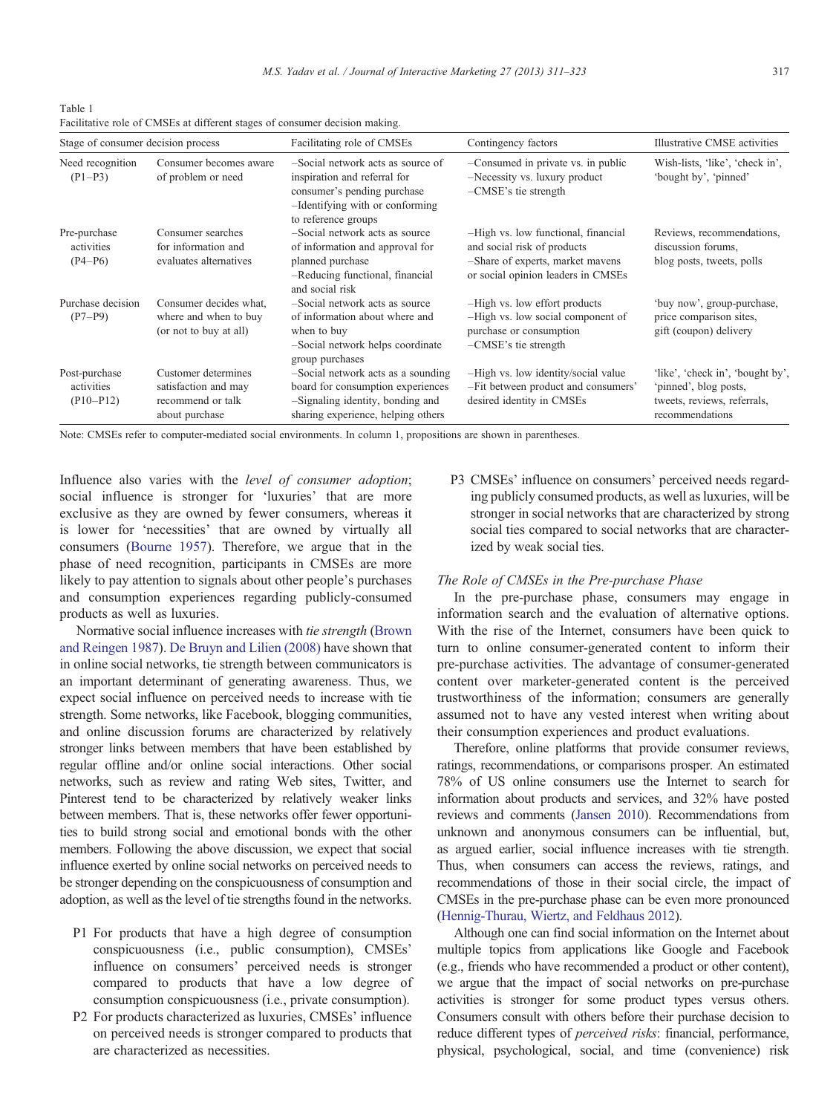<span id="page-6-0"></span>Table 1 Facilitative role of CMSEs at different stages of consumer decision making.

| Stage of consumer decision process         |                                                                                    | Facilitating role of CMSEs                                                                                                                                 | Contingency factors                                                                                                                          | Illustrative CMSE activities                                                                                |
|--------------------------------------------|------------------------------------------------------------------------------------|------------------------------------------------------------------------------------------------------------------------------------------------------------|----------------------------------------------------------------------------------------------------------------------------------------------|-------------------------------------------------------------------------------------------------------------|
| Need recognition<br>$(P1-P3)$              | Consumer becomes aware<br>of problem or need                                       | -Social network acts as source of<br>inspiration and referral for<br>consumer's pending purchase<br>-Identifying with or conforming<br>to reference groups | -Consumed in private vs. in public<br>-Necessity vs. luxury product<br>$-CMSE's$ tie strength                                                | Wish-lists, 'like', 'check in',<br>'bought by', 'pinned'                                                    |
| Pre-purchase<br>activities<br>$(P4-P6)$    | Consumer searches<br>for information and<br>evaluates alternatives                 | -Social network acts as source<br>of information and approval for<br>planned purchase<br>-Reducing functional, financial<br>and social risk                | -High vs. low functional, financial<br>and social risk of products<br>-Share of experts, market mayens<br>or social opinion leaders in CMSEs | Reviews, recommendations,<br>discussion forums,<br>blog posts, tweets, polls                                |
| Purchase decision<br>$(P7-P9)$             | Consumer decides what,<br>where and when to buy<br>(or not to buy at all)          | -Social network acts as source<br>of information about where and<br>when to buy<br>-Social network helps coordinate<br>group purchases                     | -High vs. low effort products<br>-High vs. low social component of<br>purchase or consumption<br>$-CMSE's$ tie strength                      | 'buy now', group-purchase,<br>price comparison sites,<br>gift (coupon) delivery                             |
| Post-purchase<br>activities<br>$(P10-P12)$ | Customer determines<br>satisfaction and may<br>recommend or talk<br>about purchase | -Social network acts as a sounding<br>board for consumption experiences<br>-Signaling identity, bonding and<br>sharing experience, helping others          | -High vs. low identity/social value<br>-Fit between product and consumers'<br>desired identity in CMSEs                                      | 'like', 'check in', 'bought by'.<br>'pinned', blog posts,<br>tweets, reviews, referrals,<br>recommendations |

Note: CMSEs refer to computer-mediated social environments. In column 1, propositions are shown in parentheses.

Influence also varies with the level of consumer adoption; social influence is stronger for 'luxuries' that are more exclusive as they are owned by fewer consumers, whereas it is lower for 'necessities' that are owned by virtually all consumers [\(Bourne 1957\)](#page-11-0). Therefore, we argue that in the phase of need recognition, participants in CMSEs are more likely to pay attention to signals about other people's purchases and consumption experiences regarding publicly-consumed products as well as luxuries.

Normative social influence increases with tie strength ([Brown](#page-11-0) [and Reingen 1987](#page-11-0)). [De Bruyn and Lilien \(2008\)](#page-11-0) have shown that in online social networks, tie strength between communicators is an important determinant of generating awareness. Thus, we expect social influence on perceived needs to increase with tie strength. Some networks, like Facebook, blogging communities, and online discussion forums are characterized by relatively stronger links between members that have been established by regular offline and/or online social interactions. Other social networks, such as review and rating Web sites, Twitter, and Pinterest tend to be characterized by relatively weaker links between members. That is, these networks offer fewer opportunities to build strong social and emotional bonds with the other members. Following the above discussion, we expect that social influence exerted by online social networks on perceived needs to be stronger depending on the conspicuousness of consumption and adoption, as well as the level of tie strengths found in the networks.

- P1 For products that have a high degree of consumption conspicuousness (i.e., public consumption), CMSEs' influence on consumers' perceived needs is stronger compared to products that have a low degree of consumption conspicuousness (i.e., private consumption).
- P2 For products characterized as luxuries, CMSEs' influence on perceived needs is stronger compared to products that are characterized as necessities.

P3 CMSEs' influence on consumers' perceived needs regarding publicly consumed products, as well as luxuries, will be stronger in social networks that are characterized by strong social ties compared to social networks that are characterized by weak social ties.

## The Role of CMSEs in the Pre-purchase Phase

In the pre-purchase phase, consumers may engage in information search and the evaluation of alternative options. With the rise of the Internet, consumers have been quick to turn to online consumer-generated content to inform their pre-purchase activities. The advantage of consumer-generated content over marketer-generated content is the perceived trustworthiness of the information; consumers are generally assumed not to have any vested interest when writing about their consumption experiences and product evaluations.

Therefore, online platforms that provide consumer reviews, ratings, recommendations, or comparisons prosper. An estimated 78% of US online consumers use the Internet to search for information about products and services, and 32% have posted reviews and comments [\(Jansen 2010\)](#page-11-0). Recommendations from unknown and anonymous consumers can be influential, but, as argued earlier, social influence increases with tie strength. Thus, when consumers can access the reviews, ratings, and recommendations of those in their social circle, the impact of CMSEs in the pre-purchase phase can be even more pronounced ([Hennig-Thurau, Wiertz, and Feldhaus 2012\)](#page-11-0).

Although one can find social information on the Internet about multiple topics from applications like Google and Facebook (e.g., friends who have recommended a product or other content), we argue that the impact of social networks on pre-purchase activities is stronger for some product types versus others. Consumers consult with others before their purchase decision to reduce different types of perceived risks: financial, performance, physical, psychological, social, and time (convenience) risk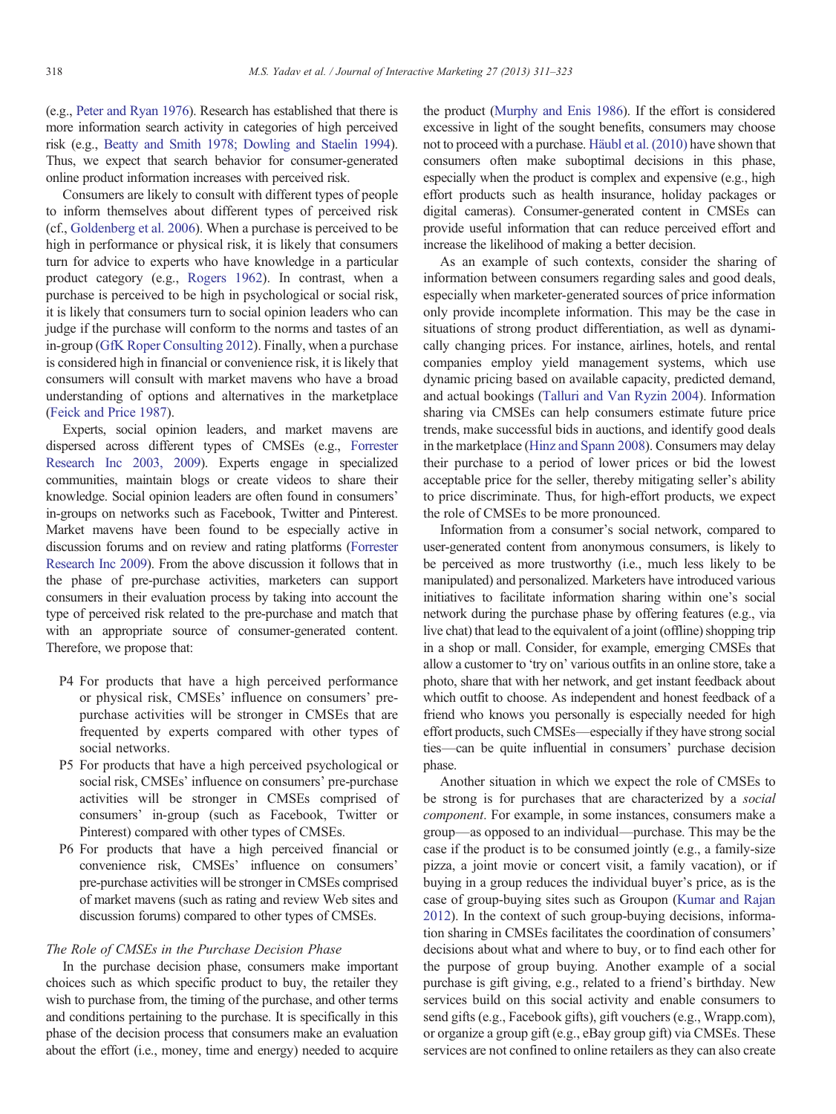(e.g., [Peter and Ryan 1976\)](#page-12-0). Research has established that there is more information search activity in categories of high perceived risk (e.g., [Beatty and Smith 1978; Dowling and Staelin 1994](#page-11-0)). Thus, we expect that search behavior for consumer-generated online product information increases with perceived risk.

Consumers are likely to consult with different types of people to inform themselves about different types of perceived risk (cf., [Goldenberg et al. 2006](#page-11-0)). When a purchase is perceived to be high in performance or physical risk, it is likely that consumers turn for advice to experts who have knowledge in a particular product category (e.g., [Rogers 1962](#page-12-0)). In contrast, when a purchase is perceived to be high in psychological or social risk, it is likely that consumers turn to social opinion leaders who can judge if the purchase will conform to the norms and tastes of an in-group [\(GfK Roper Consulting 2012\)](#page-11-0). Finally, when a purchase is considered high in financial or convenience risk, it is likely that consumers will consult with market mavens who have a broad understanding of options and alternatives in the marketplace ([Feick and Price 1987\)](#page-11-0).

Experts, social opinion leaders, and market mavens are dispersed across different types of CMSEs (e.g., [Forrester](#page-11-0) [Research Inc 2003, 2009\)](#page-11-0). Experts engage in specialized communities, maintain blogs or create videos to share their knowledge. Social opinion leaders are often found in consumers' in-groups on networks such as Facebook, Twitter and Pinterest. Market mavens have been found to be especially active in discussion forums and on review and rating platforms [\(Forrester](#page-11-0) [Research Inc 2009\)](#page-11-0). From the above discussion it follows that in the phase of pre-purchase activities, marketers can support consumers in their evaluation process by taking into account the type of perceived risk related to the pre-purchase and match that with an appropriate source of consumer-generated content. Therefore, we propose that:

- P4 For products that have a high perceived performance or physical risk, CMSEs' influence on consumers' prepurchase activities will be stronger in CMSEs that are frequented by experts compared with other types of social networks.
- P5 For products that have a high perceived psychological or social risk, CMSEs' influence on consumers' pre-purchase activities will be stronger in CMSEs comprised of consumers' in-group (such as Facebook, Twitter or Pinterest) compared with other types of CMSEs.
- P6 For products that have a high perceived financial or convenience risk, CMSEs' influence on consumers' pre-purchase activities will be stronger in CMSEs comprised of market mavens (such as rating and review Web sites and discussion forums) compared to other types of CMSEs.

## The Role of CMSEs in the Purchase Decision Phase

In the purchase decision phase, consumers make important choices such as which specific product to buy, the retailer they wish to purchase from, the timing of the purchase, and other terms and conditions pertaining to the purchase. It is specifically in this phase of the decision process that consumers make an evaluation about the effort (i.e., money, time and energy) needed to acquire the product [\(Murphy and Enis 1986\)](#page-12-0). If the effort is considered excessive in light of the sought benefits, consumers may choose not to proceed with a purchase. [Häubl et al. \(2010\)](#page-11-0) have shown that consumers often make suboptimal decisions in this phase, especially when the product is complex and expensive (e.g., high effort products such as health insurance, holiday packages or digital cameras). Consumer-generated content in CMSEs can provide useful information that can reduce perceived effort and increase the likelihood of making a better decision.

As an example of such contexts, consider the sharing of information between consumers regarding sales and good deals, especially when marketer-generated sources of price information only provide incomplete information. This may be the case in situations of strong product differentiation, as well as dynamically changing prices. For instance, airlines, hotels, and rental companies employ yield management systems, which use dynamic pricing based on available capacity, predicted demand, and actual bookings ([Talluri and Van Ryzin 2004\)](#page-12-0). Information sharing via CMSEs can help consumers estimate future price trends, make successful bids in auctions, and identify good deals in the marketplace [\(Hinz and Spann 2008\)](#page-11-0). Consumers may delay their purchase to a period of lower prices or bid the lowest acceptable price for the seller, thereby mitigating seller's ability to price discriminate. Thus, for high-effort products, we expect the role of CMSEs to be more pronounced.

Information from a consumer's social network, compared to user-generated content from anonymous consumers, is likely to be perceived as more trustworthy (i.e., much less likely to be manipulated) and personalized. Marketers have introduced various initiatives to facilitate information sharing within one's social network during the purchase phase by offering features (e.g., via live chat) that lead to the equivalent of a joint (offline) shopping trip in a shop or mall. Consider, for example, emerging CMSEs that allow a customer to 'try on' various outfits in an online store, take a photo, share that with her network, and get instant feedback about which outfit to choose. As independent and honest feedback of a friend who knows you personally is especially needed for high effort products, such CMSEs—especially if they have strong social ties—can be quite influential in consumers' purchase decision phase.

Another situation in which we expect the role of CMSEs to be strong is for purchases that are characterized by a *social* component. For example, in some instances, consumers make a group—as opposed to an individual—purchase. This may be the case if the product is to be consumed jointly (e.g., a family-size pizza, a joint movie or concert visit, a family vacation), or if buying in a group reduces the individual buyer's price, as is the case of group-buying sites such as Groupon ([Kumar and Rajan](#page-11-0) [2012](#page-11-0)). In the context of such group-buying decisions, information sharing in CMSEs facilitates the coordination of consumers' decisions about what and where to buy, or to find each other for the purpose of group buying. Another example of a social purchase is gift giving, e.g., related to a friend's birthday. New services build on this social activity and enable consumers to send gifts (e.g., Facebook gifts), gift vouchers (e.g., Wrapp.com), or organize a group gift (e.g., eBay group gift) via CMSEs. These services are not confined to online retailers as they can also create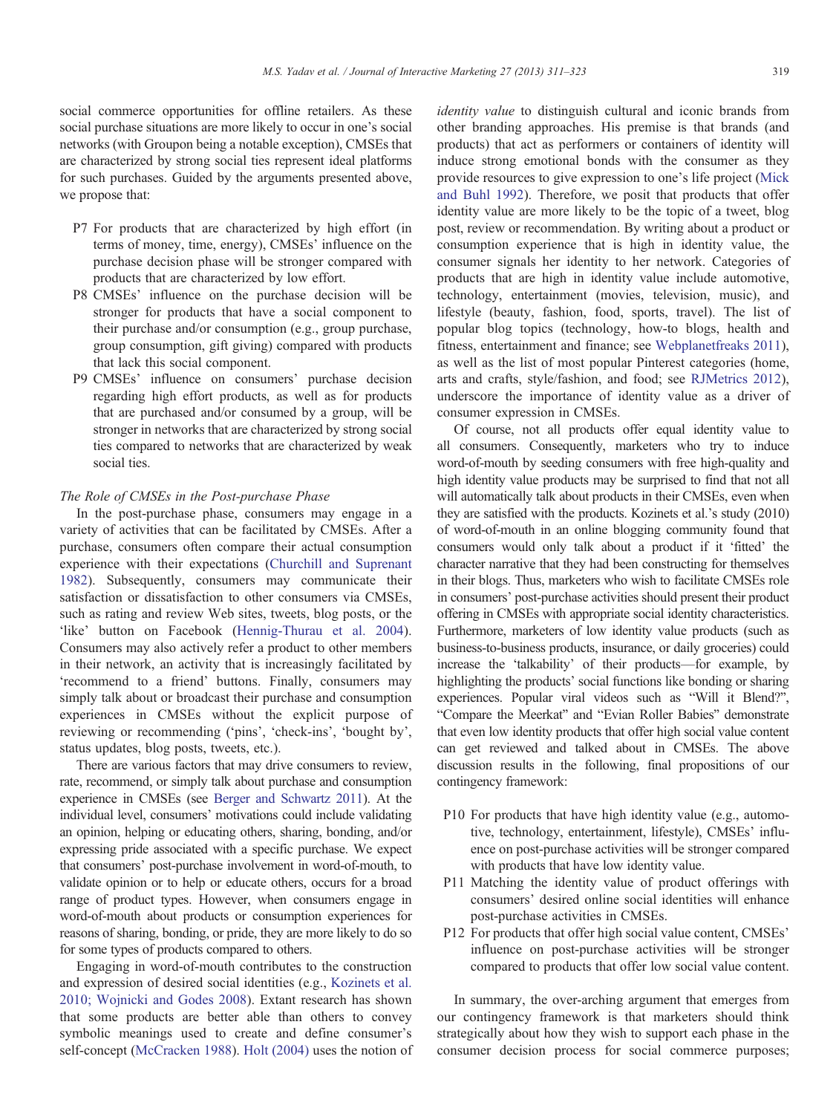social commerce opportunities for offline retailers. As these social purchase situations are more likely to occur in one's social networks (with Groupon being a notable exception), CMSEs that are characterized by strong social ties represent ideal platforms for such purchases. Guided by the arguments presented above, we propose that:

- P7 For products that are characterized by high effort (in terms of money, time, energy), CMSEs' influence on the purchase decision phase will be stronger compared with products that are characterized by low effort.
- P8 CMSEs' influence on the purchase decision will be stronger for products that have a social component to their purchase and/or consumption (e.g., group purchase, group consumption, gift giving) compared with products that lack this social component.
- P9 CMSEs' influence on consumers' purchase decision regarding high effort products, as well as for products that are purchased and/or consumed by a group, will be stronger in networks that are characterized by strong social ties compared to networks that are characterized by weak social ties.

## The Role of CMSEs in the Post-purchase Phase

In the post-purchase phase, consumers may engage in a variety of activities that can be facilitated by CMSEs. After a purchase, consumers often compare their actual consumption experience with their expectations [\(Churchill and Suprenant](#page-11-0) [1982](#page-11-0)). Subsequently, consumers may communicate their satisfaction or dissatisfaction to other consumers via CMSEs, such as rating and review Web sites, tweets, blog posts, or the 'like' button on Facebook ([Hennig-Thurau et al. 2004\)](#page-11-0). Consumers may also actively refer a product to other members in their network, an activity that is increasingly facilitated by 'recommend to a friend' buttons. Finally, consumers may simply talk about or broadcast their purchase and consumption experiences in CMSEs without the explicit purpose of reviewing or recommending ('pins', 'check-ins', 'bought by', status updates, blog posts, tweets, etc.).

There are various factors that may drive consumers to review, rate, recommend, or simply talk about purchase and consumption experience in CMSEs (see [Berger and Schwartz 2011\)](#page-11-0). At the individual level, consumers' motivations could include validating an opinion, helping or educating others, sharing, bonding, and/or expressing pride associated with a specific purchase. We expect that consumers' post-purchase involvement in word-of-mouth, to validate opinion or to help or educate others, occurs for a broad range of product types. However, when consumers engage in word-of-mouth about products or consumption experiences for reasons of sharing, bonding, or pride, they are more likely to do so for some types of products compared to others.

Engaging in word-of-mouth contributes to the construction and expression of desired social identities (e.g., [Kozinets et al.](#page-11-0) [2010; Wojnicki and Godes 2008\)](#page-11-0). Extant research has shown that some products are better able than others to convey symbolic meanings used to create and define consumer's self-concept ([McCracken 1988](#page-12-0)). [Holt \(2004\)](#page-11-0) uses the notion of identity value to distinguish cultural and iconic brands from other branding approaches. His premise is that brands (and products) that act as performers or containers of identity will induce strong emotional bonds with the consumer as they provide resources to give expression to one's life project ([Mick](#page-12-0) [and Buhl 1992](#page-12-0)). Therefore, we posit that products that offer identity value are more likely to be the topic of a tweet, blog post, review or recommendation. By writing about a product or consumption experience that is high in identity value, the consumer signals her identity to her network. Categories of products that are high in identity value include automotive, technology, entertainment (movies, television, music), and lifestyle (beauty, fashion, food, sports, travel). The list of popular blog topics (technology, how-to blogs, health and fitness, entertainment and finance; see [Webplanetfreaks 2011\)](#page-12-0), as well as the list of most popular Pinterest categories (home, arts and crafts, style/fashion, and food; see [RJMetrics 2012\)](#page-12-0), underscore the importance of identity value as a driver of consumer expression in CMSEs.

Of course, not all products offer equal identity value to all consumers. Consequently, marketers who try to induce word-of-mouth by seeding consumers with free high-quality and high identity value products may be surprised to find that not all will automatically talk about products in their CMSEs, even when they are satisfied with the products. Kozinets et al.'s study (2010) of word-of-mouth in an online blogging community found that consumers would only talk about a product if it 'fitted' the character narrative that they had been constructing for themselves in their blogs. Thus, marketers who wish to facilitate CMSEs role in consumers' post-purchase activities should present their product offering in CMSEs with appropriate social identity characteristics. Furthermore, marketers of low identity value products (such as business-to-business products, insurance, or daily groceries) could increase the 'talkability' of their products—for example, by highlighting the products' social functions like bonding or sharing experiences. Popular viral videos such as "Will it Blend?", "Compare the Meerkat" and "Evian Roller Babies" demonstrate that even low identity products that offer high social value content can get reviewed and talked about in CMSEs. The above discussion results in the following, final propositions of our contingency framework:

- P10 For products that have high identity value (e.g., automotive, technology, entertainment, lifestyle), CMSEs' influence on post-purchase activities will be stronger compared with products that have low identity value.
- P11 Matching the identity value of product offerings with consumers' desired online social identities will enhance post-purchase activities in CMSEs.
- P12 For products that offer high social value content, CMSEs' influence on post-purchase activities will be stronger compared to products that offer low social value content.

In summary, the over-arching argument that emerges from our contingency framework is that marketers should think strategically about how they wish to support each phase in the consumer decision process for social commerce purposes;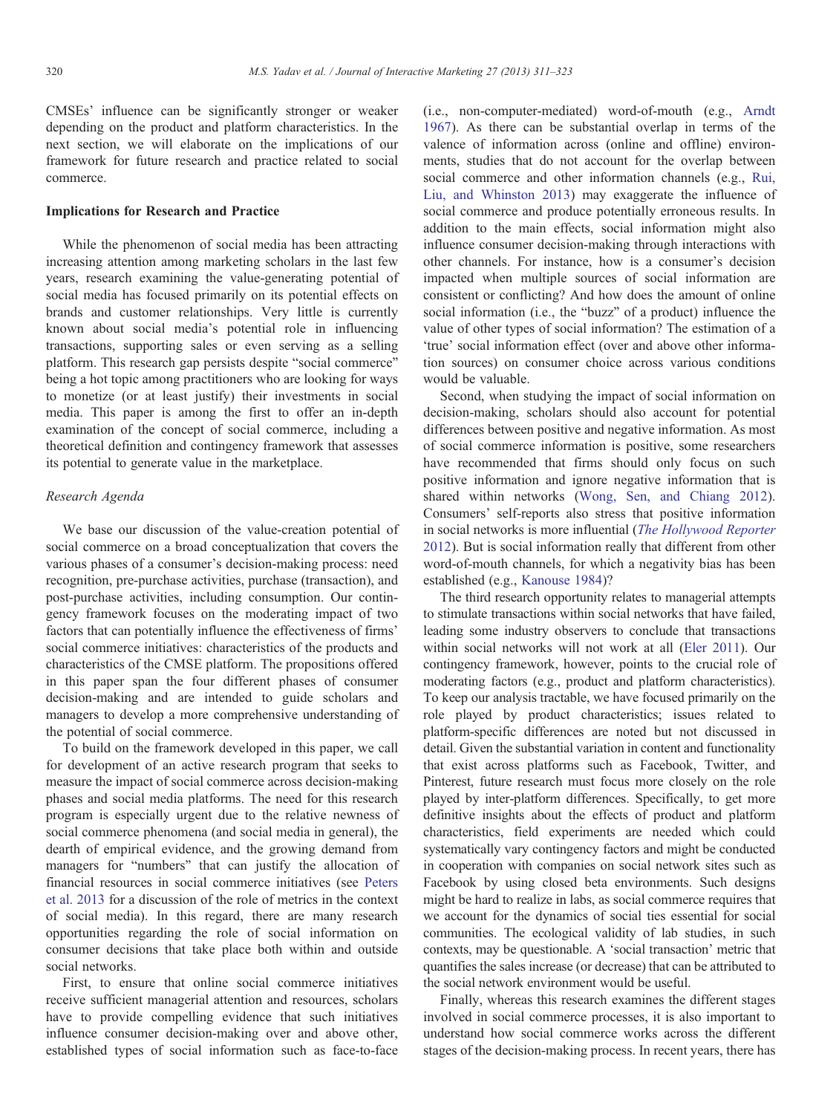CMSEs' influence can be significantly stronger or weaker depending on the product and platform characteristics. In the next section, we will elaborate on the implications of our framework for future research and practice related to social commerce.

# Implications for Research and Practice

While the phenomenon of social media has been attracting increasing attention among marketing scholars in the last few years, research examining the value-generating potential of social media has focused primarily on its potential effects on brands and customer relationships. Very little is currently known about social media's potential role in influencing transactions, supporting sales or even serving as a selling platform. This research gap persists despite "social commerce" being a hot topic among practitioners who are looking for ways to monetize (or at least justify) their investments in social media. This paper is among the first to offer an in-depth examination of the concept of social commerce, including a theoretical definition and contingency framework that assesses its potential to generate value in the marketplace.

# Research Agenda

We base our discussion of the value-creation potential of social commerce on a broad conceptualization that covers the various phases of a consumer's decision-making process: need recognition, pre-purchase activities, purchase (transaction), and post-purchase activities, including consumption. Our contingency framework focuses on the moderating impact of two factors that can potentially influence the effectiveness of firms' social commerce initiatives: characteristics of the products and characteristics of the CMSE platform. The propositions offered in this paper span the four different phases of consumer decision-making and are intended to guide scholars and managers to develop a more comprehensive understanding of the potential of social commerce.

To build on the framework developed in this paper, we call for development of an active research program that seeks to measure the impact of social commerce across decision-making phases and social media platforms. The need for this research program is especially urgent due to the relative newness of social commerce phenomena (and social media in general), the dearth of empirical evidence, and the growing demand from managers for "numbers" that can justify the allocation of financial resources in social commerce initiatives (see [Peters](#page-12-0) [et al. 2013](#page-12-0) for a discussion of the role of metrics in the context of social media). In this regard, there are many research opportunities regarding the role of social information on consumer decisions that take place both within and outside social networks.

First, to ensure that online social commerce initiatives receive sufficient managerial attention and resources, scholars have to provide compelling evidence that such initiatives influence consumer decision-making over and above other, established types of social information such as face-to-face (i.e., non-computer-mediated) word-of-mouth (e.g., [Arndt](#page-11-0) [1967\)](#page-11-0). As there can be substantial overlap in terms of the valence of information across (online and offline) environments, studies that do not account for the overlap between social commerce and other information channels (e.g., [Rui,](#page-12-0) [Liu, and Whinston 2013\)](#page-12-0) may exaggerate the influence of social commerce and produce potentially erroneous results. In addition to the main effects, social information might also influence consumer decision-making through interactions with other channels. For instance, how is a consumer's decision impacted when multiple sources of social information are consistent or conflicting? And how does the amount of online social information (i.e., the "buzz" of a product) influence the value of other types of social information? The estimation of a 'true' social information effect (over and above other information sources) on consumer choice across various conditions would be valuable.

Second, when studying the impact of social information on decision-making, scholars should also account for potential differences between positive and negative information. As most of social commerce information is positive, some researchers have recommended that firms should only focus on such positive information and ignore negative information that is shared within networks ([Wong, Sen, and Chiang 2012](#page-12-0)). Consumers' self-reports also stress that positive information in social networks is more influential ([The Hollywood Reporter](#page-12-0) [2012\)](#page-12-0). But is social information really that different from other word-of-mouth channels, for which a negativity bias has been established (e.g., [Kanouse 1984](#page-11-0))?

The third research opportunity relates to managerial attempts to stimulate transactions within social networks that have failed, leading some industry observers to conclude that transactions within social networks will not work at all [\(Eler 2011](#page-11-0)). Our contingency framework, however, points to the crucial role of moderating factors (e.g., product and platform characteristics). To keep our analysis tractable, we have focused primarily on the role played by product characteristics; issues related to platform-specific differences are noted but not discussed in detail. Given the substantial variation in content and functionality that exist across platforms such as Facebook, Twitter, and Pinterest, future research must focus more closely on the role played by inter-platform differences. Specifically, to get more definitive insights about the effects of product and platform characteristics, field experiments are needed which could systematically vary contingency factors and might be conducted in cooperation with companies on social network sites such as Facebook by using closed beta environments. Such designs might be hard to realize in labs, as social commerce requires that we account for the dynamics of social ties essential for social communities. The ecological validity of lab studies, in such contexts, may be questionable. A 'social transaction' metric that quantifies the sales increase (or decrease) that can be attributed to the social network environment would be useful.

Finally, whereas this research examines the different stages involved in social commerce processes, it is also important to understand how social commerce works across the different stages of the decision-making process. In recent years, there has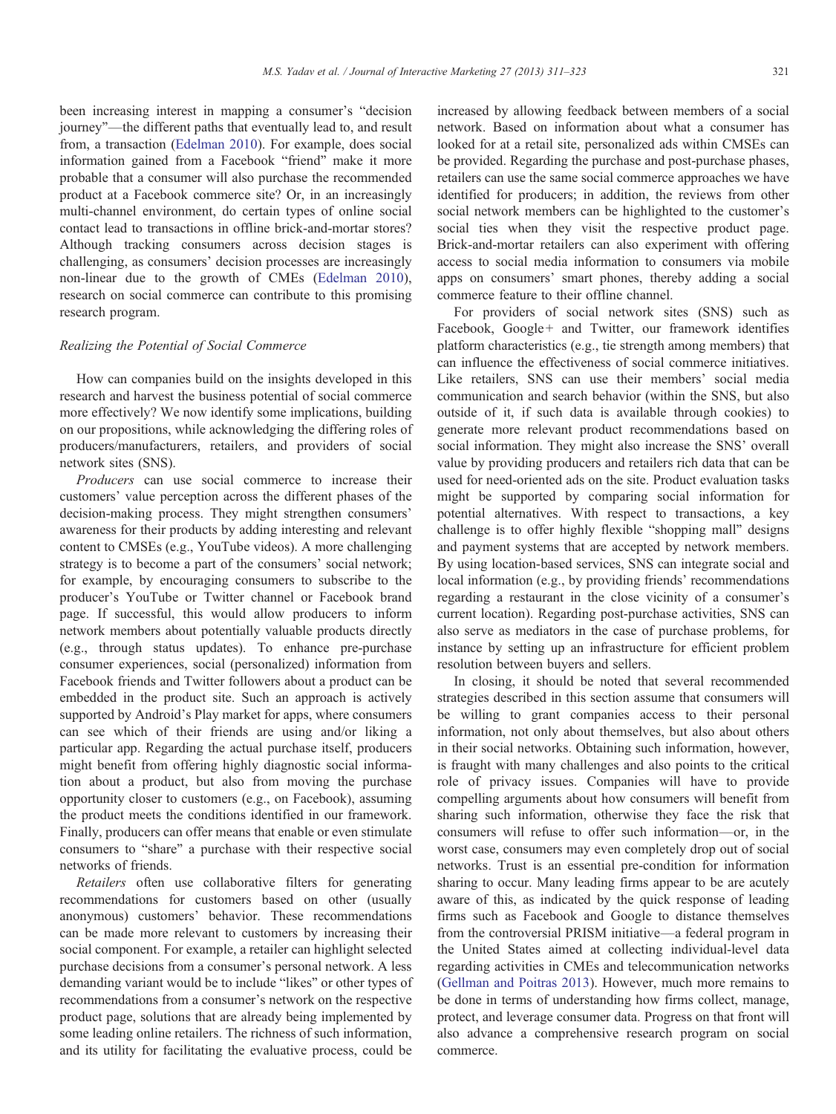been increasing interest in mapping a consumer's "decision journey"—the different paths that eventually lead to, and result from, a transaction [\(Edelman 2010\)](#page-11-0). For example, does social information gained from a Facebook "friend" make it more probable that a consumer will also purchase the recommended product at a Facebook commerce site? Or, in an increasingly multi-channel environment, do certain types of online social contact lead to transactions in offline brick-and-mortar stores? Although tracking consumers across decision stages is challenging, as consumers' decision processes are increasingly non-linear due to the growth of CMEs [\(Edelman 2010\)](#page-11-0), research on social commerce can contribute to this promising research program.

# Realizing the Potential of Social Commerce

How can companies build on the insights developed in this research and harvest the business potential of social commerce more effectively? We now identify some implications, building on our propositions, while acknowledging the differing roles of producers/manufacturers, retailers, and providers of social network sites (SNS).

Producers can use social commerce to increase their customers' value perception across the different phases of the decision-making process. They might strengthen consumers' awareness for their products by adding interesting and relevant content to CMSEs (e.g., YouTube videos). A more challenging strategy is to become a part of the consumers' social network; for example, by encouraging consumers to subscribe to the producer's YouTube or Twitter channel or Facebook brand page. If successful, this would allow producers to inform network members about potentially valuable products directly (e.g., through status updates). To enhance pre-purchase consumer experiences, social (personalized) information from Facebook friends and Twitter followers about a product can be embedded in the product site. Such an approach is actively supported by Android's Play market for apps, where consumers can see which of their friends are using and/or liking a particular app. Regarding the actual purchase itself, producers might benefit from offering highly diagnostic social information about a product, but also from moving the purchase opportunity closer to customers (e.g., on Facebook), assuming the product meets the conditions identified in our framework. Finally, producers can offer means that enable or even stimulate consumers to "share" a purchase with their respective social networks of friends.

Retailers often use collaborative filters for generating recommendations for customers based on other (usually anonymous) customers' behavior. These recommendations can be made more relevant to customers by increasing their social component. For example, a retailer can highlight selected purchase decisions from a consumer's personal network. A less demanding variant would be to include "likes" or other types of recommendations from a consumer's network on the respective product page, solutions that are already being implemented by some leading online retailers. The richness of such information, and its utility for facilitating the evaluative process, could be

increased by allowing feedback between members of a social network. Based on information about what a consumer has looked for at a retail site, personalized ads within CMSEs can be provided. Regarding the purchase and post-purchase phases, retailers can use the same social commerce approaches we have identified for producers; in addition, the reviews from other social network members can be highlighted to the customer's social ties when they visit the respective product page. Brick-and-mortar retailers can also experiment with offering access to social media information to consumers via mobile apps on consumers' smart phones, thereby adding a social commerce feature to their offline channel.

For providers of social network sites (SNS) such as Facebook, Google + and Twitter, our framework identifies platform characteristics (e.g., tie strength among members) that can influence the effectiveness of social commerce initiatives. Like retailers, SNS can use their members' social media communication and search behavior (within the SNS, but also outside of it, if such data is available through cookies) to generate more relevant product recommendations based on social information. They might also increase the SNS' overall value by providing producers and retailers rich data that can be used for need-oriented ads on the site. Product evaluation tasks might be supported by comparing social information for potential alternatives. With respect to transactions, a key challenge is to offer highly flexible "shopping mall" designs and payment systems that are accepted by network members. By using location-based services, SNS can integrate social and local information (e.g., by providing friends' recommendations regarding a restaurant in the close vicinity of a consumer's current location). Regarding post-purchase activities, SNS can also serve as mediators in the case of purchase problems, for instance by setting up an infrastructure for efficient problem resolution between buyers and sellers.

In closing, it should be noted that several recommended strategies described in this section assume that consumers will be willing to grant companies access to their personal information, not only about themselves, but also about others in their social networks. Obtaining such information, however, is fraught with many challenges and also points to the critical role of privacy issues. Companies will have to provide compelling arguments about how consumers will benefit from sharing such information, otherwise they face the risk that consumers will refuse to offer such information—or, in the worst case, consumers may even completely drop out of social networks. Trust is an essential pre-condition for information sharing to occur. Many leading firms appear to be are acutely aware of this, as indicated by the quick response of leading firms such as Facebook and Google to distance themselves from the controversial PRISM initiative—a federal program in the United States aimed at collecting individual-level data regarding activities in CMEs and telecommunication networks ([Gellman and Poitras 2013](#page-11-0)). However, much more remains to be done in terms of understanding how firms collect, manage, protect, and leverage consumer data. Progress on that front will also advance a comprehensive research program on social commerce.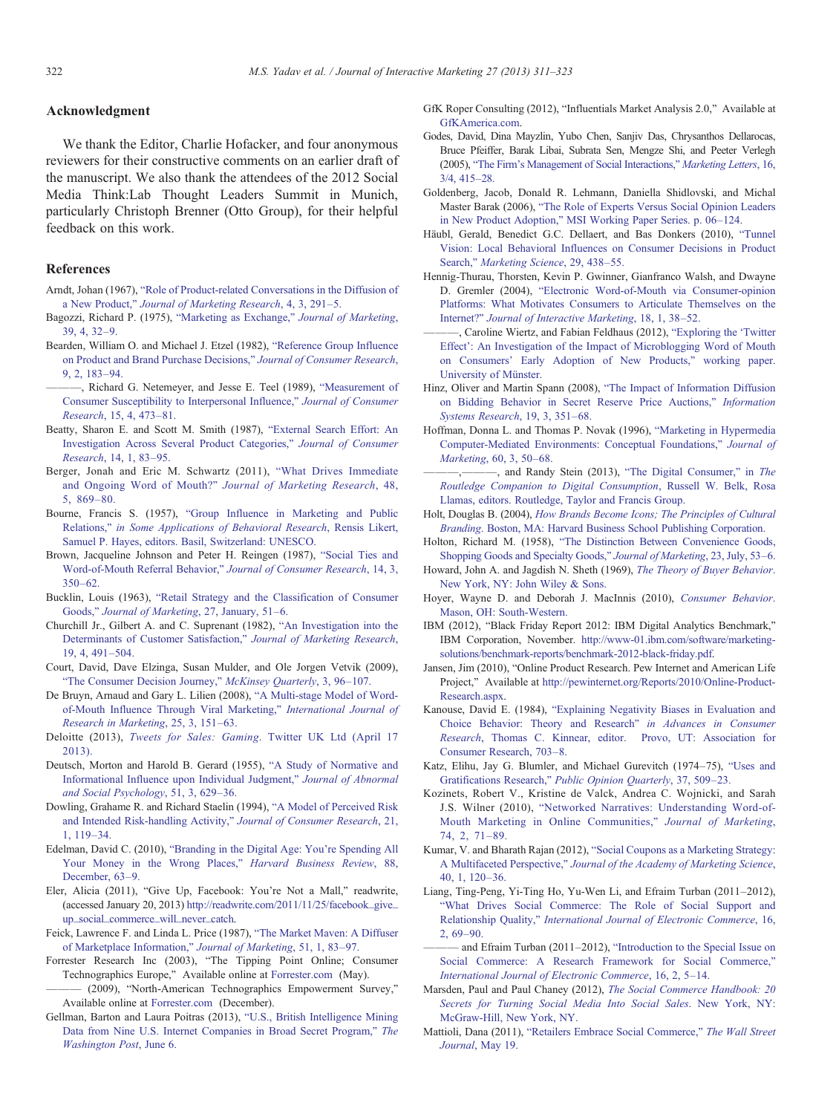#### <span id="page-11-0"></span>Acknowledgment

We thank the Editor, Charlie Hofacker, and four anonymous reviewers for their constructive comments on an earlier draft of the manuscript. We also thank the attendees of the 2012 Social Media Think:Lab Thought Leaders Summit in Munich, particularly Christoph Brenner (Otto Group), for their helpful feedback on this work.

# References

- Arndt, Johan (1967), "[Role of Product-related Conversations in the Diffusion of](http://refhub.elsevier.com/S1094-9968(13)00036-4/rf0005) a New Product," [Journal of Marketing Research](http://refhub.elsevier.com/S1094-9968(13)00036-4/rf0005), 4, 3, 291–5.
- Bagozzi, Richard P. (1975), "[Marketing as Exchange,](http://refhub.elsevier.com/S1094-9968(13)00036-4/rf0010)" Journal of Marketing, [39, 4, 32](http://refhub.elsevier.com/S1094-9968(13)00036-4/rf0010)–9.
- Bearden, William O. and Michael J. Etzel (1982), "[Reference Group Influence](http://refhub.elsevier.com/S1094-9968(13)00036-4/rf0015) [on Product and Brand Purchase Decisions,](http://refhub.elsevier.com/S1094-9968(13)00036-4/rf0015)" Journal of Consumer Research, [9, 2, 183](http://refhub.elsevier.com/S1094-9968(13)00036-4/rf0015)–94.
- ———, Richard G. Netemeyer, and Jesse E. Teel (1989), "[Measurement of](http://refhub.elsevier.com/S1094-9968(13)00036-4/rf0020) [Consumer Susceptibility to Interpersonal Influence,](http://refhub.elsevier.com/S1094-9968(13)00036-4/rf0020)" Journal of Consumer Research[, 15, 4, 473](http://refhub.elsevier.com/S1094-9968(13)00036-4/rf0020)–81.
- Beatty, Sharon E. and Scott M. Smith (1987), "[External Search Effort: An](http://refhub.elsevier.com/S1094-9968(13)00036-4/rf0025) [Investigation Across Several Product Categories,](http://refhub.elsevier.com/S1094-9968(13)00036-4/rf0025)" Journal of Consumer Research[, 14, 1, 83](http://refhub.elsevier.com/S1094-9968(13)00036-4/rf0025)–95.
- Berger, Jonah and Eric M. Schwartz (2011), "[What Drives Immediate](http://refhub.elsevier.com/S1094-9968(13)00036-4/rf2305) [and Ongoing Word of Mouth?"](http://refhub.elsevier.com/S1094-9968(13)00036-4/rf2305) Journal of Marketing Research, 48, [5, 869](http://refhub.elsevier.com/S1094-9968(13)00036-4/rf2305)–80.
- Bourne, Francis S. (1957), "[Group Influence in Marketing and Public](http://refhub.elsevier.com/S1094-9968(13)00036-4/rf0305) Relations," [in Some Applications of Behavioral Research](http://refhub.elsevier.com/S1094-9968(13)00036-4/rf0305), Rensis Likert, [Samuel P. Hayes, editors. Basil, Switzerland: UNESCO.](http://refhub.elsevier.com/S1094-9968(13)00036-4/rf0305)
- Brown, Jacqueline Johnson and Peter H. Reingen (1987), "[Social Ties and](http://refhub.elsevier.com/S1094-9968(13)00036-4/rf0045) [Word-of-Mouth Referral Behavior,](http://refhub.elsevier.com/S1094-9968(13)00036-4/rf0045)" Journal of Consumer Research, 14, 3, [350](http://refhub.elsevier.com/S1094-9968(13)00036-4/rf0045)–62.
- Bucklin, Louis (1963), "[Retail Strategy and the Classification of Consumer](http://refhub.elsevier.com/S1094-9968(13)00036-4/rf0035) Goods," [Journal of Marketing](http://refhub.elsevier.com/S1094-9968(13)00036-4/rf0035), 27, January, 51–6.
- Churchill Jr., Gilbert A. and C. Suprenant (1982), "[An Investigation into the](http://refhub.elsevier.com/S1094-9968(13)00036-4/rf0055) [Determinants of Customer Satisfaction,](http://refhub.elsevier.com/S1094-9968(13)00036-4/rf0055)" Journal of Marketing Research, [19, 4, 491](http://refhub.elsevier.com/S1094-9968(13)00036-4/rf0055)–504.
- Court, David, Dave Elzinga, Susan Mulder, and Ole Jorgen Vetvik (2009), "[The Consumer Decision Journey,](http://refhub.elsevier.com/S1094-9968(13)00036-4/rf0060)" McKinsey Quarterly, 3, 96-107.
- De Bruyn, Arnaud and Gary L. Lilien (2008), "[A Multi-stage Model of Word](http://refhub.elsevier.com/S1094-9968(13)00036-4/rf0065)[of-Mouth Influence Through Viral Marketing,](http://refhub.elsevier.com/S1094-9968(13)00036-4/rf0065)" International Journal of [Research in Marketing](http://refhub.elsevier.com/S1094-9968(13)00036-4/rf0065), 25, 3, 151–63.
- Deloitte (2013), Tweets for Sales: Gaming[. Twitter UK Ltd \(April 17](http://refhub.elsevier.com/S1094-9968(13)00036-4/rf0310) [2013\).](http://refhub.elsevier.com/S1094-9968(13)00036-4/rf0310)
- Deutsch, Morton and Harold B. Gerard (1955), "[A Study of Normative and](http://refhub.elsevier.com/S1094-9968(13)00036-4/rf0075) [Informational Influence upon Individual Judgment,](http://refhub.elsevier.com/S1094-9968(13)00036-4/rf0075)" Journal of Abnormal [and Social Psychology](http://refhub.elsevier.com/S1094-9968(13)00036-4/rf0075), 51, 3, 629–36.
- Dowling, Grahame R. and Richard Staelin (1994), "[A Model of Perceived Risk](http://refhub.elsevier.com/S1094-9968(13)00036-4/rf0080) [and Intended Risk-handling Activity,](http://refhub.elsevier.com/S1094-9968(13)00036-4/rf0080)" Journal of Consumer Research, 21, [1, 119](http://refhub.elsevier.com/S1094-9968(13)00036-4/rf0080)–34.
- Edelman, David C. (2010), "[Branding in the Digital Age: You're Spending All](http://refhub.elsevier.com/S1094-9968(13)00036-4/rf0315) [Your Money in the Wrong Places,](http://refhub.elsevier.com/S1094-9968(13)00036-4/rf0315)" Harvard Business Review, 88, [December, 63](http://refhub.elsevier.com/S1094-9968(13)00036-4/rf0315)–9.
- Eler, Alicia (2011), "Give Up, Facebook: You're Not a Mall," readwrite, (accessed January 20, 2013) [http://readwrite.com/2011/11/25/facebook\\_give\\_](http://readwrite.com/2011/11/25/facebook_give_up_social_commerce_will_never_catch) [up\\_social\\_commerce\\_will\\_never\\_catch.](http://readwrite.com/2011/11/25/facebook_give_up_social_commerce_will_never_catch)
- Feick, Lawrence F. and Linda L. Price (1987), "[The Market Maven: A Diffuser](http://refhub.elsevier.com/S1094-9968(13)00036-4/rf0100) [of Marketplace Information,](http://refhub.elsevier.com/S1094-9968(13)00036-4/rf0100)" Journal of Marketing, 51, 1, 83–97.
- Forrester Research Inc (2003), "The Tipping Point Online; Consumer Technographics Europe," Available online at [Forrester.com](http://Forrester.com) (May). (2009), "North-American Technographics Empowerment Survey,"
- Available online at [Forrester.com](http://Forrester.com) (December). Gellman, Barton and Laura Poitras (2013), "[U.S., British Intelligence Mining](http://refhub.elsevier.com/S1094-9968(13)00036-4/rf0110)
- [Data from Nine U.S. Internet Companies in Broad Secret Program,](http://refhub.elsevier.com/S1094-9968(13)00036-4/rf0110)" The [Washington Post](http://refhub.elsevier.com/S1094-9968(13)00036-4/rf0110), June 6.
- GfK Roper Consulting (2012), "Influentials Market Analysis 2.0," Available at [GfKAmerica.com.](http://GfKAmerica.com)
- Godes, David, Dina Mayzlin, Yubo Chen, Sanjiv Das, Chrysanthos Dellarocas, Bruce Pfeiffer, Barak Libai, Subrata Sen, Mengze Shi, and Peeter Verlegh (2005), "[The Firm's Management of Social Interactions,](http://refhub.elsevier.com/S1094-9968(13)00036-4/rf0340)" Marketing Letters, 16, [3/4, 415](http://refhub.elsevier.com/S1094-9968(13)00036-4/rf0340)–28.
- Goldenberg, Jacob, Donald R. Lehmann, Daniella Shidlovski, and Michal Master Barak (2006), "[The Role of Experts Versus Social Opinion Leaders](http://refhub.elsevier.com/S1094-9968(13)00036-4/rf0345) in New Product Adoption," [MSI Working Paper Series. p. 06](http://refhub.elsevier.com/S1094-9968(13)00036-4/rf0345)–124.
- Häubl, Gerald, Benedict G.C. Dellaert, and Bas Donkers (2010), "[Tunnel](http://refhub.elsevier.com/S1094-9968(13)00036-4/rf0125) [Vision: Local Behavioral Influences on Consumer Decisions in Product](http://refhub.elsevier.com/S1094-9968(13)00036-4/rf0125) Search," [Marketing Science](http://refhub.elsevier.com/S1094-9968(13)00036-4/rf0125), 29, 438–55.
- Hennig-Thurau, Thorsten, Kevin P. Gwinner, Gianfranco Walsh, and Dwayne D. Gremler (2004), "[Electronic Word-of-Mouth via Consumer-opinion](http://refhub.elsevier.com/S1094-9968(13)00036-4/rf0355) [Platforms: What Motivates Consumers to Articulate Themselves on the](http://refhub.elsevier.com/S1094-9968(13)00036-4/rf0355) Internet?" [Journal of Interactive Marketing](http://refhub.elsevier.com/S1094-9968(13)00036-4/rf0355), 18, 1, 38–52.
- , Caroline Wiertz, and Fabian Feldhaus (2012), "[Exploring the](http://refhub.elsevier.com/S1094-9968(13)00036-4/rf0350) 'Twitter Effect'[: An Investigation of the Impact of Microblogging Word of Mouth](http://refhub.elsevier.com/S1094-9968(13)00036-4/rf0350) [on Consumers' Early Adoption of New Products,](http://refhub.elsevier.com/S1094-9968(13)00036-4/rf0350)" working paper. [University of Münster.](http://refhub.elsevier.com/S1094-9968(13)00036-4/rf0350)
- Hinz, Oliver and Martin Spann (2008), "[The Impact of Information Diffusion](http://refhub.elsevier.com/S1094-9968(13)00036-4/rf0135) [on Bidding Behavior in Secret Reserve Price Auctions,](http://refhub.elsevier.com/S1094-9968(13)00036-4/rf0135)" Information [Systems Research](http://refhub.elsevier.com/S1094-9968(13)00036-4/rf0135), 19, 3, 351–68.
- Hoffman, Donna L. and Thomas P. Novak (1996), "[Marketing in Hypermedia](http://refhub.elsevier.com/S1094-9968(13)00036-4/rf0140) [Computer-Mediated Environments: Conceptual Foundations,](http://refhub.elsevier.com/S1094-9968(13)00036-4/rf0140)" Journal of Marketing[, 60, 3, 50](http://refhub.elsevier.com/S1094-9968(13)00036-4/rf0140)–68.
- -, and Randy Stein (2013), "[The Digital Consumer,](http://refhub.elsevier.com/S1094-9968(13)00036-4/rf0360)" in The [Routledge Companion to Digital Consumption](http://refhub.elsevier.com/S1094-9968(13)00036-4/rf0360), Russell W. Belk, Rosa [Llamas, editors. Routledge, Taylor and Francis Group.](http://refhub.elsevier.com/S1094-9968(13)00036-4/rf0360)
- Holt, Douglas B. (2004), [How Brands Become Icons; The Principles of Cultural](http://refhub.elsevier.com/S1094-9968(13)00036-4/rf0155) Branding[. Boston, MA: Harvard Business School Publishing Corporation.](http://refhub.elsevier.com/S1094-9968(13)00036-4/rf0155)
- Holton, Richard M. (1958), "[The Distinction Between Convenience Goods,](http://refhub.elsevier.com/S1094-9968(13)00036-4/rf9220) [Shopping Goods and Specialty Goods,](http://refhub.elsevier.com/S1094-9968(13)00036-4/rf9220)" Journal of Marketing, 23, July, 53–6.
- Howard, John A. and Jagdish N. Sheth (1969), [The Theory of Buyer Behavior](http://refhub.elsevier.com/S1094-9968(13)00036-4/rf0150). [New York, NY: John Wiley & Sons.](http://refhub.elsevier.com/S1094-9968(13)00036-4/rf0150)
- Hoyer, Wayne D. and Deborah J. MacInnis (2010), [Consumer Behavior](http://refhub.elsevier.com/S1094-9968(13)00036-4/rf9020). [Mason, OH: South-Western.](http://refhub.elsevier.com/S1094-9968(13)00036-4/rf9020)
- IBM (2012), "Black Friday Report 2012: IBM Digital Analytics Benchmark," IBM Corporation, November. [http://www-01.ibm.com/software/marketing](http://www-01.ibm.com/software/marketing-solutions/benchmark-reports/benchmark-2012-black-friday.pdf)[solutions/benchmark-reports/benchmark-2012-black-friday.pdf.](http://www-01.ibm.com/software/marketing-solutions/benchmark-reports/benchmark-2012-black-friday.pdf)
- Jansen, Jim (2010), "Online Product Research. Pew Internet and American Life Project," Available at [http://pewinternet.org/Reports/2010/Online-Product-](http://pewinternet.org/Reports/2010/Online-Product-Research.aspx)[Research.aspx.](http://pewinternet.org/Reports/2010/Online-Product-Research.aspx)
- Kanouse, David E. (1984), "[Explaining Negativity Biases in Evaluation and](http://refhub.elsevier.com/S1094-9968(13)00036-4/rf0380) [Choice Behavior: Theory and Research"](http://refhub.elsevier.com/S1094-9968(13)00036-4/rf0380) in Advances in Consumer Research[, Thomas C. Kinnear, editor. Provo, UT: Association for](http://refhub.elsevier.com/S1094-9968(13)00036-4/rf0380) [Consumer Research, 703](http://refhub.elsevier.com/S1094-9968(13)00036-4/rf0380)–8.
- Katz, Elihu, Jay G. Blumler, and Michael Gurevitch (1974–75), "[Uses and](http://refhub.elsevier.com/S1094-9968(13)00036-4/rf0385) Gratifications Research," [Public Opinion Quarterly](http://refhub.elsevier.com/S1094-9968(13)00036-4/rf0385), 37, 509–23.
- Kozinets, Robert V., Kristine de Valck, Andrea C. Wojnicki, and Sarah J.S. Wilner (2010), "[Networked Narratives: Understanding Word-of-](http://refhub.elsevier.com/S1094-9968(13)00036-4/rf0175)[Mouth Marketing in Online Communities,](http://refhub.elsevier.com/S1094-9968(13)00036-4/rf0175)" Journal of Marketing, [74, 2, 71](http://refhub.elsevier.com/S1094-9968(13)00036-4/rf0175)–89.
- Kumar, V. and Bharath Rajan (2012), "[Social Coupons as a Marketing Strategy:](http://refhub.elsevier.com/S1094-9968(13)00036-4/rf0180) A Multifaceted Perspective," [Journal of the Academy of Marketing Science](http://refhub.elsevier.com/S1094-9968(13)00036-4/rf0180), [40, 1, 120](http://refhub.elsevier.com/S1094-9968(13)00036-4/rf0180)–36.
- Liang, Ting-Peng, Yi-Ting Ho, Yu-Wen Li, and Efraim Turban (2011–2012), "[What Drives Social Commerce: The Role of Social Support and](http://refhub.elsevier.com/S1094-9968(13)00036-4/rf0390) Relationship Quality," [International Journal of Electronic Commerce](http://refhub.elsevier.com/S1094-9968(13)00036-4/rf0390), 16, [2, 69](http://refhub.elsevier.com/S1094-9968(13)00036-4/rf0390)–90.
- ——— and Efraim Turban (2011–2012), "[Introduction to the Special Issue on](http://refhub.elsevier.com/S1094-9968(13)00036-4/rf0185) [Social Commerce: A Research Framework for Social Commerce,](http://refhub.elsevier.com/S1094-9968(13)00036-4/rf0185)" [International Journal of Electronic Commerce](http://refhub.elsevier.com/S1094-9968(13)00036-4/rf0185), 16, 2, 5–14.
- Marsden, Paul and Paul Chaney (2012), [The Social Commerce Handbook: 20](http://refhub.elsevier.com/S1094-9968(13)00036-4/rf0190) [Secrets for Turning Social Media Into Social Sales](http://refhub.elsevier.com/S1094-9968(13)00036-4/rf0190). New York, NY: [McGraw-Hill, New York, NY.](http://refhub.elsevier.com/S1094-9968(13)00036-4/rf0190)
- Mattioli, Dana (2011), "[Retailers Embrace Social Commerce,](http://refhub.elsevier.com/S1094-9968(13)00036-4/rf0195)" The Wall Street Journal[, May 19.](http://refhub.elsevier.com/S1094-9968(13)00036-4/rf0195)